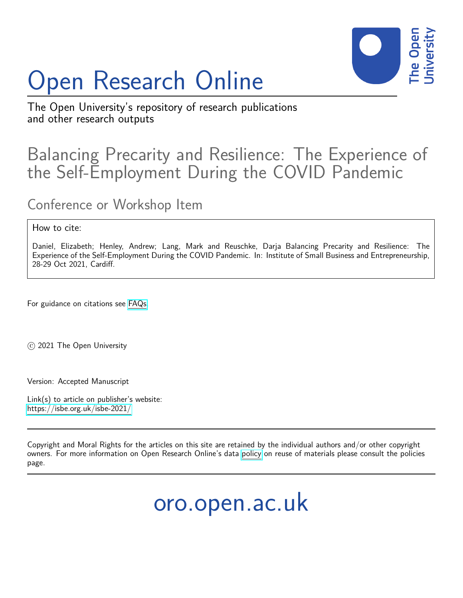# Open Research Online



The Open University's repository of research publications and other research outputs

# Balancing Precarity and Resilience: The Experience of the Self-Employment During the COVID Pandemic

Conference or Workshop Item

#### How to cite:

Daniel, Elizabeth; Henley, Andrew; Lang, Mark and Reuschke, Darja Balancing Precarity and Resilience: The Experience of the Self-Employment During the COVID Pandemic. In: Institute of Small Business and Entrepreneurship, 28-29 Oct 2021, Cardiff.

For guidance on citations see [FAQs.](http://oro.open.ac.uk/help/helpfaq.html)

c 2021 The Open University

Version: Accepted Manuscript

Link(s) to article on publisher's website: <https://isbe.org.uk/isbe-2021/>

Copyright and Moral Rights for the articles on this site are retained by the individual authors and/or other copyright owners. For more information on Open Research Online's data [policy](http://oro.open.ac.uk/policies.html) on reuse of materials please consult the policies page.

oro.open.ac.uk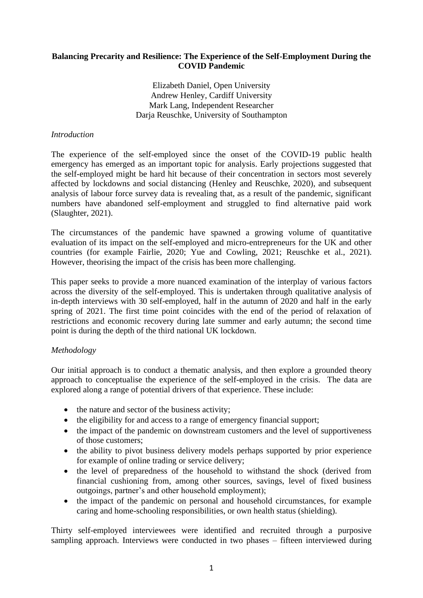#### **Balancing Precarity and Resilience: The Experience of the Self-Employment During the COVID Pandemic**

Elizabeth Daniel, Open University Andrew Henley, Cardiff University Mark Lang, Independent Researcher Daria Reuschke, University of Southampton

#### *Introduction*

The experience of the self-employed since the onset of the COVID-19 public health emergency has emerged as an important topic for analysis. Early projections suggested that the self-employed might be hard hit because of their concentration in sectors most severely affected by lockdowns and social distancing (Henley and Reuschke, 2020), and subsequent analysis of labour force survey data is revealing that, as a result of the pandemic, significant numbers have abandoned self-employment and struggled to find alternative paid work (Slaughter, 2021).

The circumstances of the pandemic have spawned a growing volume of quantitative evaluation of its impact on the self-employed and micro-entrepreneurs for the UK and other countries (for example Fairlie, 2020; Yue and Cowling, 2021; Reuschke et al., 2021). However, theorising the impact of the crisis has been more challenging.

This paper seeks to provide a more nuanced examination of the interplay of various factors across the diversity of the self-employed. This is undertaken through qualitative analysis of in-depth interviews with 30 self-employed, half in the autumn of 2020 and half in the early spring of 2021. The first time point coincides with the end of the period of relaxation of restrictions and economic recovery during late summer and early autumn; the second time point is during the depth of the third national UK lockdown.

#### *Methodology*

Our initial approach is to conduct a thematic analysis, and then explore a grounded theory approach to conceptualise the experience of the self-employed in the crisis. The data are explored along a range of potential drivers of that experience. These include:

- the nature and sector of the business activity;
- the eligibility for and access to a range of emergency financial support;
- the impact of the pandemic on downstream customers and the level of supportiveness of those customers;
- the ability to pivot business delivery models perhaps supported by prior experience for example of online trading or service delivery;
- the level of preparedness of the household to withstand the shock (derived from financial cushioning from, among other sources, savings, level of fixed business outgoings, partner's and other household employment);
- the impact of the pandemic on personal and household circumstances, for example caring and home-schooling responsibilities, or own health status (shielding).

Thirty self-employed interviewees were identified and recruited through a purposive sampling approach. Interviews were conducted in two phases – fifteen interviewed during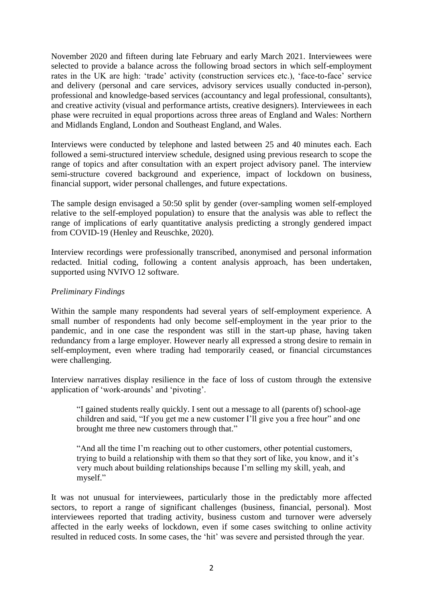November 2020 and fifteen during late February and early March 2021. Interviewees were selected to provide a balance across the following broad sectors in which self-employment rates in the UK are high: 'trade' activity (construction services etc.), 'face-to-face' service and delivery (personal and care services, advisory services usually conducted in-person), professional and knowledge-based services (accountancy and legal professional, consultants), and creative activity (visual and performance artists, creative designers). Interviewees in each phase were recruited in equal proportions across three areas of England and Wales: Northern and Midlands England, London and Southeast England, and Wales.

Interviews were conducted by telephone and lasted between 25 and 40 minutes each. Each followed a semi-structured interview schedule, designed using previous research to scope the range of topics and after consultation with an expert project advisory panel. The interview semi-structure covered background and experience, impact of lockdown on business, financial support, wider personal challenges, and future expectations.

The sample design envisaged a 50:50 split by gender (over-sampling women self-employed relative to the self-employed population) to ensure that the analysis was able to reflect the range of implications of early quantitative analysis predicting a strongly gendered impact from COVID-19 (Henley and Reuschke, 2020).

Interview recordings were professionally transcribed, anonymised and personal information redacted. Initial coding, following a content analysis approach, has been undertaken, supported using NVIVO 12 software.

#### *Preliminary Findings*

Within the sample many respondents had several years of self-employment experience. A small number of respondents had only become self-employment in the year prior to the pandemic, and in one case the respondent was still in the start-up phase, having taken redundancy from a large employer. However nearly all expressed a strong desire to remain in self-employment, even where trading had temporarily ceased, or financial circumstances were challenging.

Interview narratives display resilience in the face of loss of custom through the extensive application of 'work-arounds' and 'pivoting'.

"I gained students really quickly. I sent out a message to all (parents of) school-age children and said, "If you get me a new customer I'll give you a free hour" and one brought me three new customers through that."

"And all the time I'm reaching out to other customers, other potential customers, trying to build a relationship with them so that they sort of like, you know, and it's very much about building relationships because I'm selling my skill, yeah, and myself."

It was not unusual for interviewees, particularly those in the predictably more affected sectors, to report a range of significant challenges (business, financial, personal). Most interviewees reported that trading activity, business custom and turnover were adversely affected in the early weeks of lockdown, even if some cases switching to online activity resulted in reduced costs. In some cases, the 'hit' was severe and persisted through the year.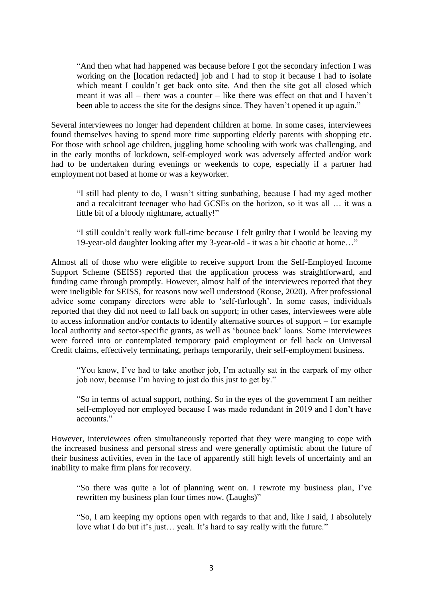"And then what had happened was because before I got the secondary infection I was working on the [location redacted] job and I had to stop it because I had to isolate which meant I couldn't get back onto site. And then the site got all closed which meant it was all – there was a counter – like there was effect on that and I haven't been able to access the site for the designs since. They haven't opened it up again."

Several interviewees no longer had dependent children at home. In some cases, interviewees found themselves having to spend more time supporting elderly parents with shopping etc. For those with school age children, juggling home schooling with work was challenging, and in the early months of lockdown, self-employed work was adversely affected and/or work had to be undertaken during evenings or weekends to cope, especially if a partner had employment not based at home or was a keyworker.

"I still had plenty to do, I wasn't sitting sunbathing, because I had my aged mother and a recalcitrant teenager who had GCSEs on the horizon, so it was all … it was a little bit of a bloody nightmare, actually!"

"I still couldn't really work full-time because I felt guilty that I would be leaving my 19-year-old daughter looking after my 3-year-old - it was a bit chaotic at home…"

Almost all of those who were eligible to receive support from the Self-Employed Income Support Scheme (SEISS) reported that the application process was straightforward, and funding came through promptly. However, almost half of the interviewees reported that they were ineligible for SEISS, for reasons now well understood (Rouse, 2020). After professional advice some company directors were able to 'self-furlough'. In some cases, individuals reported that they did not need to fall back on support; in other cases, interviewees were able to access information and/or contacts to identify alternative sources of support – for example local authority and sector-specific grants, as well as 'bounce back' loans. Some interviewees were forced into or contemplated temporary paid employment or fell back on Universal Credit claims, effectively terminating, perhaps temporarily, their self-employment business.

"You know, I've had to take another job, I'm actually sat in the carpark of my other job now, because I'm having to just do this just to get by."

"So in terms of actual support, nothing. So in the eyes of the government I am neither self-employed nor employed because I was made redundant in 2019 and I don't have accounts."

However, interviewees often simultaneously reported that they were manging to cope with the increased business and personal stress and were generally optimistic about the future of their business activities, even in the face of apparently still high levels of uncertainty and an inability to make firm plans for recovery.

"So there was quite a lot of planning went on. I rewrote my business plan, I've rewritten my business plan four times now. (Laughs)"

"So, I am keeping my options open with regards to that and, like I said, I absolutely love what I do but it's just… yeah. It's hard to say really with the future."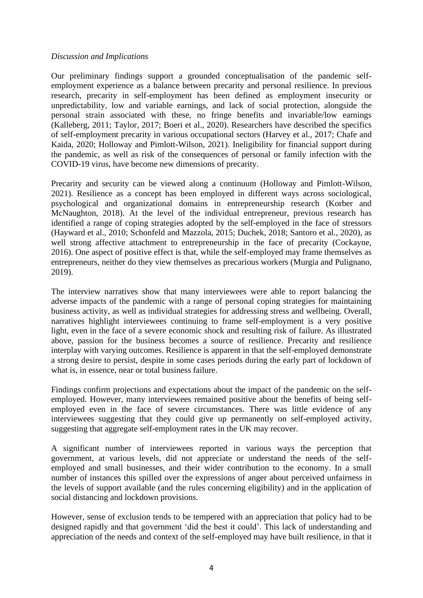#### *Discussion and Implications*

Our preliminary findings support a grounded conceptualisation of the pandemic selfemployment experience as a balance between precarity and personal resilience. In previous research, precarity in self-employment has been defined as employment insecurity or unpredictability, low and variable earnings, and lack of social protection, alongside the personal strain associated with these, no fringe benefits and invariable/low earnings (Kalleberg, 2011; Taylor, 2017; Boeri et al., 2020). Researchers have described the specifics of self-employment precarity in various occupational sectors (Harvey et al., 2017; Chafe and Kaida, 2020; Holloway and Pimlott-Wilson, 2021). Ineligibility for financial support during the pandemic, as well as risk of the consequences of personal or family infection with the COVID-19 virus, have become new dimensions of precarity.

Precarity and security can be viewed along a continuum (Holloway and Pimlott-Wilson, 2021). Resilience as a concept has been employed in different ways across sociological, psychological and organizational domains in entrepreneurship research (Korber and McNaughton, 2018). At the level of the individual entrepreneur, previous research has identified a range of coping strategies adopted by the self-employed in the face of stressors (Hayward et al., 2010; Schonfeld and Mazzola, 2015; Duchek, 2018; Santoro et al., 2020), as well strong affective attachment to entrepreneurship in the face of precarity (Cockayne, 2016). One aspect of positive effect is that, while the self-employed may frame themselves as entrepreneurs, neither do they view themselves as precarious workers (Murgia and Pulignano, 2019).

The interview narratives show that many interviewees were able to report balancing the adverse impacts of the pandemic with a range of personal coping strategies for maintaining business activity, as well as individual strategies for addressing stress and wellbeing. Overall, narratives highlight interviewees continuing to frame self-employment is a very positive light, even in the face of a severe economic shock and resulting risk of failure. As illustrated above, passion for the business becomes a source of resilience. Precarity and resilience interplay with varying outcomes. Resilience is apparent in that the self-employed demonstrate a strong desire to persist, despite in some cases periods during the early part of lockdown of what is, in essence, near or total business failure.

Findings confirm projections and expectations about the impact of the pandemic on the selfemployed. However, many interviewees remained positive about the benefits of being selfemployed even in the face of severe circumstances. There was little evidence of any interviewees suggesting that they could give up permanently on self-employed activity, suggesting that aggregate self-employment rates in the UK may recover.

A significant number of interviewees reported in various ways the perception that government, at various levels, did not appreciate or understand the needs of the selfemployed and small businesses, and their wider contribution to the economy. In a small number of instances this spilled over the expressions of anger about perceived unfairness in the levels of support available (and the rules concerning eligibility) and in the application of social distancing and lockdown provisions.

However, sense of exclusion tends to be tempered with an appreciation that policy had to be designed rapidly and that government 'did the best it could'. This lack of understanding and appreciation of the needs and context of the self-employed may have built resilience, in that it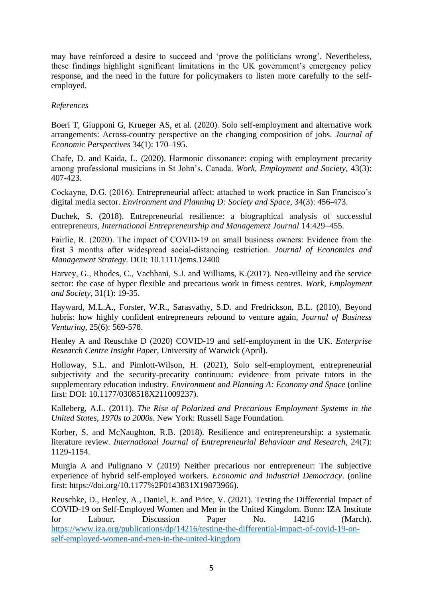may have reinforced a desire to succeed and 'prove the politicians wrong'. Nevertheless, these findings highlight significant limitations in the UK government's emergency policy response, and the need in the future for policymakers to listen more carefully to the selfemployed.

#### *References*

Boeri T, Giupponi G, Krueger AS, et al. (2020). Solo self-employment and alternative work arrangements: Across-country perspective on the changing composition of jobs. *Journal of Economic Perspectives* 34(1): 170–195.

Chafe, D. and Kaida, L. (2020). Harmonic dissonance: coping with employment precarity among professional musicians in St John's, Canada. *Work, Employment and Society*, 43(3): 407-423.

Cockayne, D.G. (2016). Entrepreneurial affect: attached to work practice in San Francisco's digital media sector. *Environment and Planning D: Society and Space*, 34(3): 456-473.

Duchek, S. (2018). Entrepreneurial resilience: a biographical analysis of successful entrepreneurs, *International Entrepreneurship and Management Journal* 14:429–455.

Fairlie, R. (2020). The impact of COVID‐19 on small business owners: Evidence from the first 3 months after widespread social‐distancing restriction. *Journal of Economics and Management Strategy*. DOI: 10.1111/jems.12400

Harvey, G., Rhodes, C., Vachhani, S.J. and Williams, K.(2017). Neo-villeiny and the service sector: the case of hyper flexible and precarious work in fitness centres. *Work, Employment and Society*, 31(1): 19-35.

Hayward, M.L.A., Forster, W.R., Sarasvathy, S.D. and Fredrickson, B.L. (2010), Beyond hubris: how highly confident entrepreneurs rebound to venture again, *Journal of Business Venturing,* 25(6): 569-578.

Henley A and Reuschke D (2020) COVID-19 and self-employment in the UK. *Enterprise Research Centre Insight Paper*, University of Warwick (April).

Holloway, S.L. and Pimlott-Wilson, H. (2021), Solo self-employment, entrepreneurial subjectivity and the security-precarity continuum: evidence from private tutors in the supplementary education industry. *Environment and Planning A: Economy and Space* (online first: DOI: 10.1177/0308518X211009237).

Kalleberg, A.L. (2011). *The Rise of Polarized and Precarious Employment Systems in the United States, 1970s to 2000s*. New York: Russell Sage Foundation.

Korber, S. and McNaughton, R.B. (2018). Resilience and entrepreneurship: a systematic literature review. *International Journal of Entrepreneurial Behaviour and Research*, 24(7): 1129-1154.

Murgia A and Pulignano V (2019) Neither precarious nor entrepreneur: The subjective experience of hybrid self-employed workers. *Economic and Industrial Democracy*. (online first: https://doi.org/10.1177%2F0143831X19873966).

Reuschke, D., Henley, A., Daniel, E. and Price, V. (2021). Testing the Differential Impact of COVID-19 on Self-Employed Women and Men in the United Kingdom. Bonn: IZA Institute for Labour, Discussion Paper No. 14216 (March). [https://www.iza.org/publications/dp/14216/testing-the-differential-impact-of-covid-19-on](https://www.iza.org/publications/dp/14216/testing-the-differential-impact-of-covid-19-on-self-employed-women-and-men-in-the-united-kingdom)[self-employed-women-and-men-in-the-united-kingdom](https://www.iza.org/publications/dp/14216/testing-the-differential-impact-of-covid-19-on-self-employed-women-and-men-in-the-united-kingdom)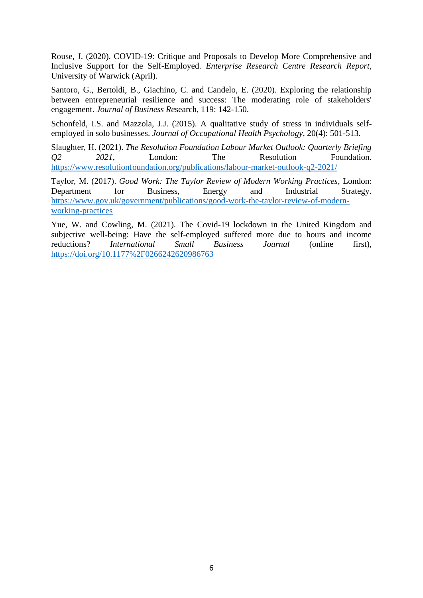Rouse, J. (2020). COVID-19: Critique and Proposals to Develop More Comprehensive and Inclusive Support for the Self-Employed. *Enterprise Research Centre Research Report*, University of Warwick (April).

Santoro, G., Bertoldi, B., Giachino, C. and Candelo, E. (2020). Exploring the relationship between entrepreneurial resilience and success: The moderating role of stakeholders' engagement. *Journal of Business Re*search, 119: 142-150.

Schonfeld, I.S. and Mazzola, J.J. (2015). A qualitative study of stress in individuals selfemployed in solo businesses. *Journal of Occupational Health Psychology*, 20(4): 501-513.

Slaughter, H. (2021). *The Resolution Foundation Labour Market Outlook: Quarterly Briefing Q2 2021*, London: The Resolution Foundation. <https://www.resolutionfoundation.org/publications/labour-market-outlook-q2-2021/>

Taylor, M. (2017). *Good Work: The Taylor Review of Modern Working Practices*, London: Department for Business, Energy and Industrial Strategy. [https://www.gov.uk/government/publications/good-work-the-taylor-review-of-modern](https://www.gov.uk/government/publications/good-work-the-taylor-review-of-modern-working-practices)[working-practices](https://www.gov.uk/government/publications/good-work-the-taylor-review-of-modern-working-practices)

Yue, W. and Cowling, M. (2021). The Covid-19 lockdown in the United Kingdom and subjective well-being: Have the self-employed suffered more due to hours and income reductions? *International Small Business Journal* (online first), <https://doi.org/10.1177%2F0266242620986763>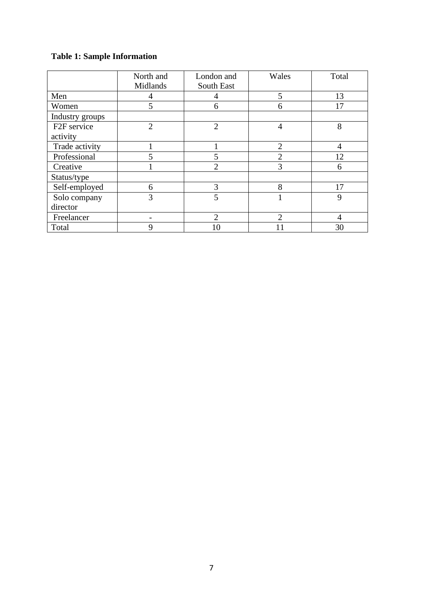## **Table 1: Sample Information**

|                         | North and      | London and     | Wales          | Total          |
|-------------------------|----------------|----------------|----------------|----------------|
|                         | Midlands       | South East     |                |                |
| Men                     | 4              | 4              | 5              | 13             |
| Women                   | 5              | 6              | 6              | 17             |
| Industry groups         |                |                |                |                |
| F <sub>2F</sub> service | $\overline{2}$ | $\overline{2}$ | $\overline{4}$ | 8              |
| activity                |                |                |                |                |
| Trade activity          |                |                | $\overline{2}$ | $\overline{4}$ |
| Professional            | 5              |                | $\overline{2}$ | 12             |
| Creative                |                | $\overline{2}$ | 3              | 6              |
| Status/type             |                |                |                |                |
| Self-employed           | 6              | 3              | 8              | 17             |
| Solo company            | 3              | 5              |                | 9              |
| director                |                |                |                |                |
| Freelancer              |                | $\overline{2}$ | $\overline{2}$ | 4              |
| Total                   | 9              |                |                | 30             |